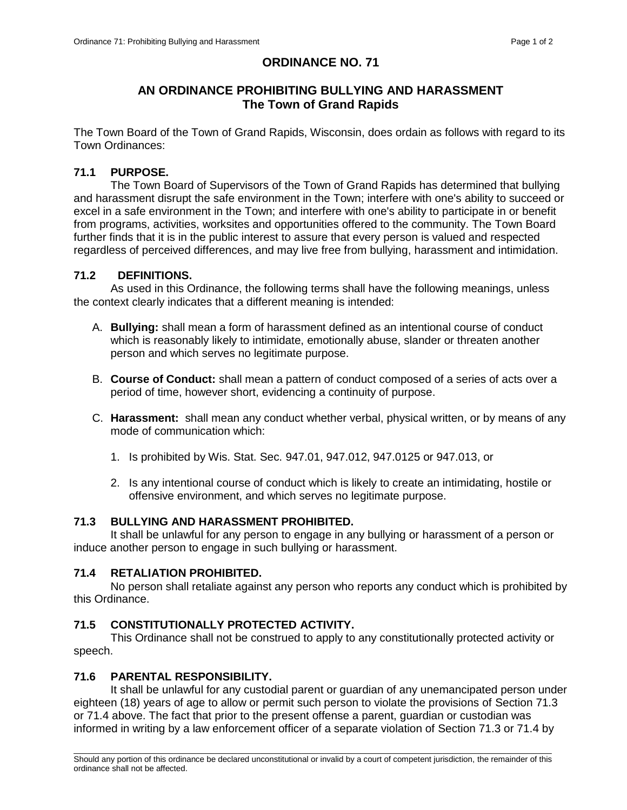# **ORDINANCE NO. 71**

# **AN ORDINANCE PROHIBITING BULLYING AND HARASSMENT The Town of Grand Rapids**

The Town Board of the Town of Grand Rapids, Wisconsin, does ordain as follows with regard to its Town Ordinances:

### **71.1 PURPOSE.**

The Town Board of Supervisors of the Town of Grand Rapids has determined that bullying and harassment disrupt the safe environment in the Town; interfere with one's ability to succeed or excel in a safe environment in the Town; and interfere with one's ability to participate in or benefit from programs, activities, worksites and opportunities offered to the community. The Town Board further finds that it is in the public interest to assure that every person is valued and respected regardless of perceived differences, and may live free from bullying, harassment and intimidation.

#### **71.2 DEFINITIONS.**

As used in this Ordinance, the following terms shall have the following meanings, unless the context clearly indicates that a different meaning is intended:

- A. **Bullying:** shall mean a form of harassment defined as an intentional course of conduct which is reasonably likely to intimidate, emotionally abuse, slander or threaten another person and which serves no legitimate purpose.
- B. **Course of Conduct:** shall mean a pattern of conduct composed of a series of acts over a period of time, however short, evidencing a continuity of purpose.
- C. **Harassment:** shall mean any conduct whether verbal, physical written, or by means of any mode of communication which:
	- 1. Is prohibited by Wis. Stat. Sec. 947.01, 947.012, 947.0125 or 947.013, or
	- 2. Is any intentional course of conduct which is likely to create an intimidating, hostile or offensive environment, and which serves no legitimate purpose.

#### **71.3 BULLYING AND HARASSMENT PROHIBITED.**

It shall be unlawful for any person to engage in any bullying or harassment of a person or induce another person to engage in such bullying or harassment.

#### **71.4 RETALIATION PROHIBITED.**

No person shall retaliate against any person who reports any conduct which is prohibited by this Ordinance.

# **71.5 CONSTITUTIONALLY PROTECTED ACTIVITY.**

This Ordinance shall not be construed to apply to any constitutionally protected activity or speech.

#### **71.6 PARENTAL RESPONSIBILITY.**

It shall be unlawful for any custodial parent or guardian of any unemancipated person under eighteen (18) years of age to allow or permit such person to violate the provisions of Section 71.3 or 71.4 above. The fact that prior to the present offense a parent, guardian or custodian was informed in writing by a law enforcement officer of a separate violation of Section 71.3 or 71.4 by